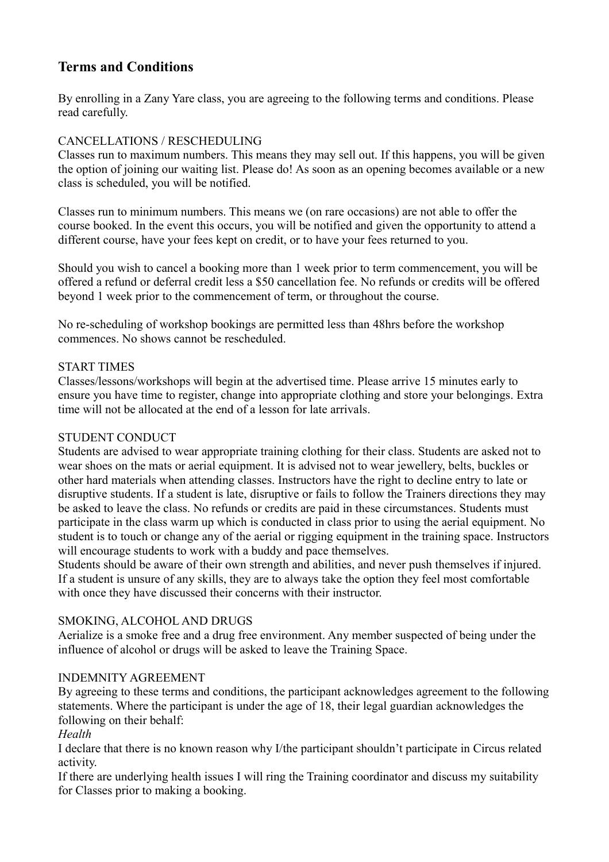# **Terms and Conditions**

By enrolling in a Zany Yare class, you are agreeing to the following terms and conditions. Please read carefully.

## CANCELLATIONS / RESCHEDULING

Classes run to maximum numbers. This means they may sell out. If this happens, you will be given the option of joining our waiting list. Please do! As soon as an opening becomes available or a new class is scheduled, you will be notified.

Classes run to minimum numbers. This means we (on rare occasions) are not able to offer the course booked. In the event this occurs, you will be notified and given the opportunity to attend a different course, have your fees kept on credit, or to have your fees returned to you.

Should you wish to cancel a booking more than 1 week prior to term commencement, you will be offered a refund or deferral credit less a \$50 cancellation fee. No refunds or credits will be offered beyond 1 week prior to the commencement of term, or throughout the course.

No re-scheduling of workshop bookings are permitted less than 48hrs before the workshop commences. No shows cannot be rescheduled.

### START TIMES

Classes/lessons/workshops will begin at the advertised time. Please arrive 15 minutes early to ensure you have time to register, change into appropriate clothing and store your belongings. Extra time will not be allocated at the end of a lesson for late arrivals.

### STUDENT CONDUCT

Students are advised to wear appropriate training clothing for their class. Students are asked not to wear shoes on the mats or aerial equipment. It is advised not to wear jewellery, belts, buckles or other hard materials when attending classes. Instructors have the right to decline entry to late or disruptive students. If a student is late, disruptive or fails to follow the Trainers directions they may be asked to leave the class. No refunds or credits are paid in these circumstances. Students must participate in the class warm up which is conducted in class prior to using the aerial equipment. No student is to touch or change any of the aerial or rigging equipment in the training space. Instructors will encourage students to work with a buddy and pace themselves.

Students should be aware of their own strength and abilities, and never push themselves if injured. If a student is unsure of any skills, they are to always take the option they feel most comfortable with once they have discussed their concerns with their instructor.

### SMOKING, ALCOHOL AND DRUGS

Aerialize is a smoke free and a drug free environment. Any member suspected of being under the influence of alcohol or drugs will be asked to leave the Training Space.

### INDEMNITY AGREEMENT

By agreeing to these terms and conditions, the participant acknowledges agreement to the following statements. Where the participant is under the age of 18, their legal guardian acknowledges the following on their behalf:

### *Health*

I declare that there is no known reason why I/the participant shouldn't participate in Circus related activity.

If there are underlying health issues I will ring the Training coordinator and discuss my suitability for Classes prior to making a booking.